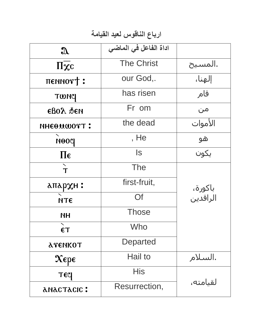## ارباع الناقوس لعيد القيامة

| $\mathfrak{A}$                                 | اداة الفاعل في الماضي |                     |
|------------------------------------------------|-----------------------|---------------------|
| $\Pi\overline{\chi}c$                          | <b>The Christ</b>     | المسيح.             |
| $\pi$ ennor $\dagger$ :                        | our God,.             | إلهنا،              |
| TWNC                                           | has risen             | قام                 |
| <b>EBOA</b> SEN                                | Fr om                 | من                  |
| <b>INHEOMWOTT:</b>                             | the dead              | الأموات             |
| роеи                                           | , He                  | ھو                  |
| $\Pi\epsilon$                                  | ls.                   | يكون                |
| T                                              | The                   |                     |
| апархн :                                       | first-fruit,          |                     |
| <b>NTE</b>                                     | Of                    | باكورة،<br>الراقدين |
| <b>NH</b>                                      | <b>Those</b>          |                     |
| $\epsilon$ T                                   | Who                   |                     |
| <b>ATENKOT</b>                                 | <b>Departed</b>       |                     |
| $\mathbf{\chi}_{\epsilon \mathrm{p} \epsilon}$ | Hail to               | السلام.             |
| <b>TECI</b>                                    | His                   |                     |
| <b>ANACTACIC:</b>                              | Resurrection,         | لقيامته،            |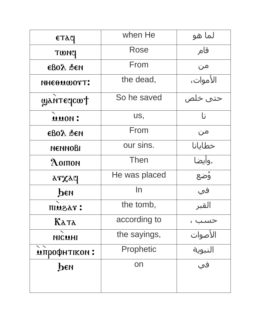| <b>ЕТАЧ</b>                         | when He       | لما هو    |
|-------------------------------------|---------------|-----------|
| <b>PHWT</b>                         | Rose          | قام       |
| $\epsilon$ BOA $\delta$ EN          | From          | من        |
| <b>NHEOUWOTT:</b>                   | the dead,     | الأموات،  |
| WANTECICWT                          | So he saved   | حتی خلص   |
| uuon:                               | US,           | l;        |
| $\epsilon$ BO $\lambda$ $\delta$ EN | From          | من        |
| <b>МЕММОВІ</b>                      | our sins.     | خطايانا   |
| $\Lambda$ OITTON                    | <b>Then</b>   | .وأيضا    |
| arxaq                               | He was placed | ۇضع       |
| PEN                                 | In            | في        |
| : тазип                             | the tomb,     | القبر     |
| Ката                                | according to  |           |
| NICUHI                              | the sayings,  | الأصوات   |
| $\mathbf{X}$<br><b>мпрофнтіком:</b> | Prophetic     | النبوية   |
| реи                                 | on            | <u>في</u> |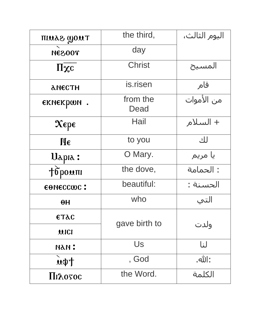| TIUAS WOUT                        | the third,       | اليوم الثالث، |
|-----------------------------------|------------------|---------------|
| <b>TOOS3M</b>                     | day              |               |
| $\eta_{\chi c}$                   | <b>Christ</b>    | المسيح        |
| <b>АНЕСТН</b>                     | is.risen         | قام           |
| екнекрои.                         | from the<br>Dead | من الأموات    |
| $\mathbf{x}$ ере                  | Hail             | + السلام      |
| $\mathbf{M}\boldsymbol{\epsilon}$ | to you           | لك            |
| Uapia:                            | O Mary.          | يا مريم       |
| Topouni                           | the dove,        | : الحمامة     |
| EONECCWC:                         | beautiful:       | الحسنة :      |
| $\theta$ H                        | who              | التي          |
| <b>ETAC</b>                       |                  |               |
| <b>UICI</b>                       | gave birth to    | ولدت          |
| : иди                             | Us               | لنا           |
| $\mathbf{u} \mathbf{\psi}$        | , God            | :الله.        |
| Пілотос                           | the Word.        | الكلمة        |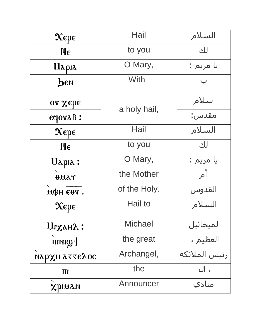| $\mathbf{X}\epsilon$ p $\epsilon$              | Hail           | السلام                |
|------------------------------------------------|----------------|-----------------------|
| $\mathbf{\mathbf{H}\boldsymbol{\epsilon}}$     | to you         | لك                    |
| Uapia                                          | O Mary,        | يا مريم :             |
| реи                                            | With           | $\overline{\smile}$   |
| or Xebe                                        |                | سلام                  |
| eclora <sub>B</sub> :                          | a holy hail,   | مقدس:                 |
| $\mathbf{\chi}_{\epsilon \mathrm{p} \epsilon}$ | Hail           | السلام                |
| $\mathbf{\mathbf{H}\boldsymbol{\epsilon}}$     | to you         | لك                    |
| Uapia:                                         | O Mary,        | يا مريم :             |
| ouar                                           | the Mother     | آم                    |
| дфн єет.                                       | of the Holy.   | القدوس                |
| $\mathbf{X}\epsilon$ p $\epsilon$              | Hail to        | السلام                |
| UIXAHA:                                        | <b>Michael</b> | لميخائيل              |
| twinin                                         | the great      | <mark>العظیم ،</mark> |
| нархн аттелос                                  | Archangel,     | رئيس الملائكة         |
| ΠI                                             | the            | ، ال                  |
| xpiuan                                         | Announcer      | منادي                 |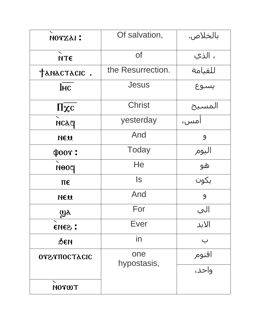| ΝΟΥΧλΙ:                 | Of salvation,      | بالخلاص.       |
|-------------------------|--------------------|----------------|
| <b>МТЄ</b>              | <b>of</b>          | ، الذي         |
| TANACTACIC.             | the Resurrection.  | للقيامة        |
| $\overline{\text{Inc}}$ | Jesus              | يسوع           |
| $\overline{\Pi \chi c}$ | <b>Christ</b>      | المسيح         |
| нсач                    | yesterday          | آمس،           |
| NEU                     | And                | 9              |
| $\Phi$ 00 $\hat{r}$ :   | <b>Today</b>       | اليوم          |
| poon                    | He                 | <u>ھو</u>      |
| $\pi \epsilon$          | $\sf{ls}$          | يكون           |
| NEU                     | And                | $\overline{9}$ |
| $\omega_{\lambda}$<br>ິ | For                | الي            |
| : Gana                  | Ever               | الابد          |
| <b>ФЕИ</b>              | in                 |                |
| <b>OTETHOCTACIC</b>     | one<br>hypostasis, | اقنوم          |
|                         |                    | واحد،          |
| <b>NOTWT</b>            |                    |                |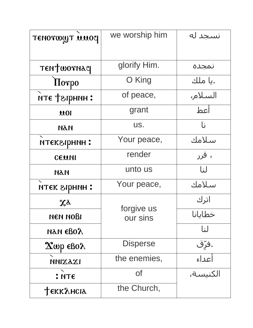| <b>TENOTWYT UUOCI</b>                   | we worship him         | نسجد له  |
|-----------------------------------------|------------------------|----------|
|                                         |                        |          |
| TENTWOTNAY                              | glorify Him.           | نمجده    |
| <b>Horpo</b>                            | O King                 | .يا ملك  |
| кте тапинат.                            | of peace,              | السلام،  |
| 0.01                                    | grant                  | أعط      |
| <b>NAN</b>                              | US.                    | نا       |
| птекарнин:                              | Your peace,            | سلامك    |
| CEMNI                                   | render                 | ، قرر    |
| <b>NAM</b>                              | unto us                | لنا      |
| птек гирнин:                            | Your peace,            | سلامك    |
| $x_{\lambda}$                           | forgive us<br>our sins | اترك     |
| нем нові                                |                        | خطايانا  |
| nan eBox                                |                        | لنا      |
| $\mathbf{X}$ wp $\epsilon$ Bo $\lambda$ | <b>Disperse</b>        | .ڧرۣۜٯ٘  |
| NNIXAXI                                 | the enemies,           | أعداء    |
| : NTE                                   | Οf                     | الكنيسة، |
| <b>Текк</b> ансіа                       | the Church,            |          |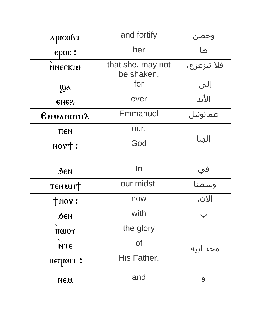| арісовт                 | and fortify                     | وحصر        |
|-------------------------|---------------------------------|-------------|
| epoc:                   | her                             | ها          |
| NNECKIN                 | that she, may not<br>be shaken. | فلا تتزعزع، |
| $\mathbf{W}$            | for                             | إلى         |
| SHOS                    | ever                            | الأبد       |
| EUUANOTHA               | Emmanuel                        | عمانوئيل    |
| ПЕН                     | our,                            |             |
| norm:                   | God                             | إلهنا       |
|                         |                                 |             |
| ФЕИ                     | In                              | في          |
| TENUHT                  | our midst,                      | وسطنا       |
| $+$ <sub>NO</sub> $r$ : | now                             | الآن،       |
| ØEN                     | with                            |             |
| $\pi \omega o \gamma$   | the glory                       |             |
| <b>NTE</b>              | <b>of</b>                       | مجد ابیه    |
| πεςιωτ:                 | His Father,                     |             |
| NEW                     | and                             | 9           |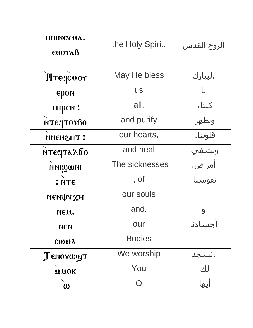| πιπηεταλ.               | the Holy Spirit. | الروح القدس |
|-------------------------|------------------|-------------|
| $\epsilon$ oora $\beta$ |                  |             |
| Mreqcuor                | May He bless     | ليبارك.     |
| EDON                    | <b>US</b>        | Ŀ           |
| ТНРЕМ:                  | all,             | كلنا،       |
| NTECITOTBO              | and purify       | ويطهر       |
| :THSMENN                | our hearts,      | قلوبنا،     |
| мтєсталбо               | and heal         | ويشفي       |
| <b>NNICOMI</b>          | The sicknesses   | أمراض،      |
| : NTE                   | , of             | نفوسنا      |
| иєифтхн                 | our souls        |             |
| NEU.                    | and.             | 9           |
| ИЄИ                     | our              | اجسادنا     |
| cwua                    | <b>Bodies</b>    |             |
| Tenorwyt                | We worship       | .سىجد       |
| <b>UMOK</b>             | You              | لك          |
| $\omega$                | $\bigcap$        | ایها        |